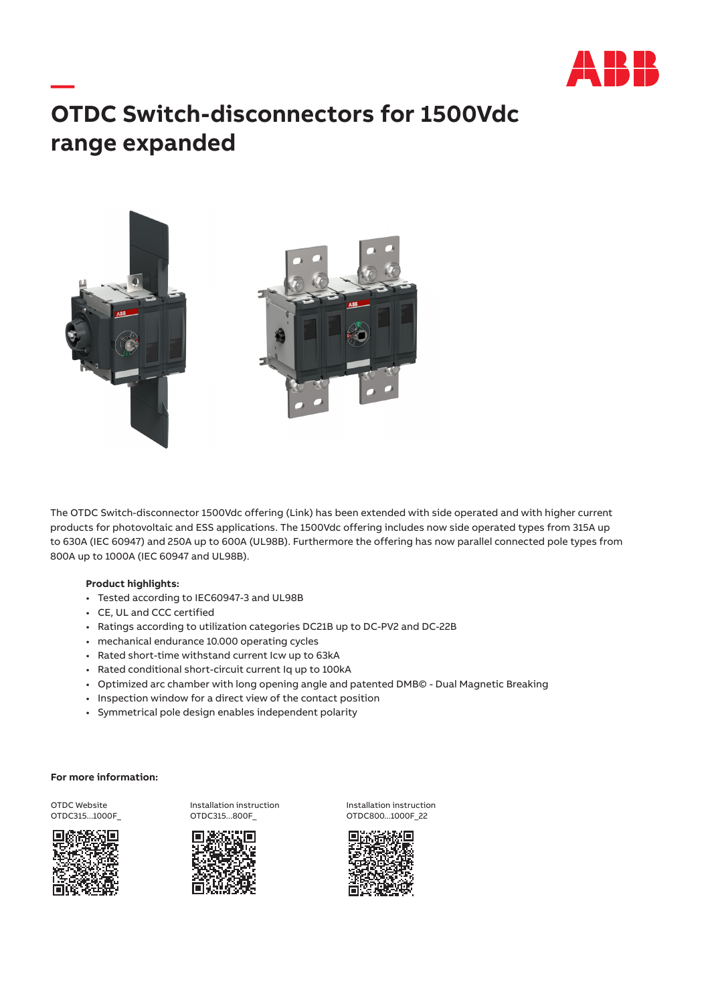

## **— OTDC Switch-disconnectors for 1500Vdc range expanded**



The OTDC Switch-disconnector 1500Vdc offering ([Link\)](https://search.abb.com/library/Download.aspx?DocumentID=9AKK107492A6191&LanguageCode=en&DocumentPartId=&Action=Launch) has been extended with side operated and with higher current products for photovoltaic and ESS applications. The 1500Vdc offering includes now side operated types from 315A up to 630A (IEC 60947) and 250A up to 600A (UL98B). Furthermore the offering has now parallel connected pole types from 800A up to 1000A (IEC 60947 and UL98B).

## **Product highlights:**

- Tested according to IEC60947-3 and UL98B
- CE, UL and CCC certified
- Ratings according to utilization categories DC21B up to DC-PV2 and DC-22B
- mechanical endurance 10.000 operating cycles
- Rated short-time withstand current Icw up to 63kA
- Rated conditional short-circuit current Iq up to 100kA
- Optimized arc chamber with long opening angle and patented DMB© Dual Magnetic Breaking
- Inspection window for a direct view of the contact position
- Symmetrical pole design enables independent polarity

## **For more information:**

OTDC Website OTDC315...1000F\_







Installation instruction OTDC800...1000F\_22